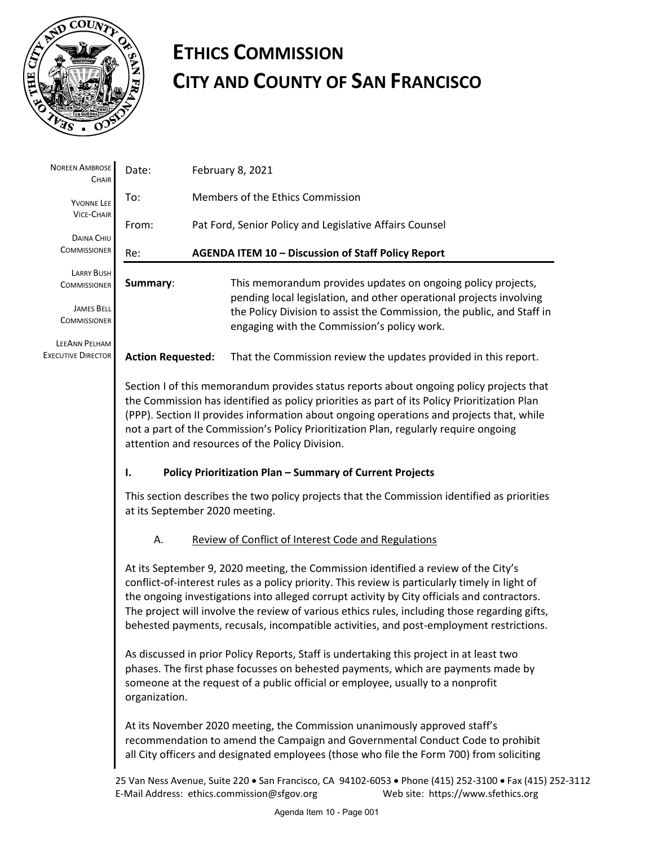

## **ETHICS COMMISSION CITY AND COUNTY OF SAN FRANCISCO**

| <b>NOREEN AMBROSE</b><br><b>CHAIR</b>                                | Date:                                                                                                                                                                                                                                                                                                                                                                                                                                                                            | February 8, 2021                                                                                                                                                                              |  |
|----------------------------------------------------------------------|----------------------------------------------------------------------------------------------------------------------------------------------------------------------------------------------------------------------------------------------------------------------------------------------------------------------------------------------------------------------------------------------------------------------------------------------------------------------------------|-----------------------------------------------------------------------------------------------------------------------------------------------------------------------------------------------|--|
| YVONNE LEE<br><b>VICE-CHAIR</b><br>DAINA CHIU<br><b>COMMISSIONER</b> | To:                                                                                                                                                                                                                                                                                                                                                                                                                                                                              | Members of the Ethics Commission                                                                                                                                                              |  |
|                                                                      | From:                                                                                                                                                                                                                                                                                                                                                                                                                                                                            | Pat Ford, Senior Policy and Legislative Affairs Counsel                                                                                                                                       |  |
|                                                                      | AGENDA ITEM 10 - Discussion of Staff Policy Report<br>Re:                                                                                                                                                                                                                                                                                                                                                                                                                        |                                                                                                                                                                                               |  |
| LARRY BUSH<br><b>COMMISSIONER</b>                                    | Summary:                                                                                                                                                                                                                                                                                                                                                                                                                                                                         | This memorandum provides updates on ongoing policy projects,<br>pending local legislation, and other operational projects involving                                                           |  |
| <b>JAMES BELL</b><br><b>COMMISSIONER</b>                             |                                                                                                                                                                                                                                                                                                                                                                                                                                                                                  | the Policy Division to assist the Commission, the public, and Staff in<br>engaging with the Commission's policy work.                                                                         |  |
| LEEANN PELHAM<br><b>EXECUTIVE DIRECTOR</b>                           | <b>Action Requested:</b>                                                                                                                                                                                                                                                                                                                                                                                                                                                         | That the Commission review the updates provided in this report.                                                                                                                               |  |
|                                                                      | Section I of this memorandum provides status reports about ongoing policy projects that<br>the Commission has identified as policy priorities as part of its Policy Prioritization Plan<br>(PPP). Section II provides information about ongoing operations and projects that, while<br>not a part of the Commission's Policy Prioritization Plan, regularly require ongoing<br>attention and resources of the Policy Division.                                                   |                                                                                                                                                                                               |  |
|                                                                      | Policy Prioritization Plan - Summary of Current Projects<br>Ι.                                                                                                                                                                                                                                                                                                                                                                                                                   |                                                                                                                                                                                               |  |
|                                                                      | This section describes the two policy projects that the Commission identified as priorities<br>at its September 2020 meeting.                                                                                                                                                                                                                                                                                                                                                    |                                                                                                                                                                                               |  |
|                                                                      | А.                                                                                                                                                                                                                                                                                                                                                                                                                                                                               | Review of Conflict of Interest Code and Regulations                                                                                                                                           |  |
|                                                                      | At its September 9, 2020 meeting, the Commission identified a review of the City's<br>conflict-of-interest rules as a policy priority. This review is particularly timely in light of<br>the ongoing investigations into alleged corrupt activity by City officials and contractors.<br>The project will involve the review of various ethics rules, including those regarding gifts,<br>behested payments, recusals, incompatible activities, and post-employment restrictions. |                                                                                                                                                                                               |  |
|                                                                      | As discussed in prior Policy Reports, Staff is undertaking this project in at least two<br>phases. The first phase focusses on behested payments, which are payments made by<br>someone at the request of a public official or employee, usually to a nonprofit<br>organization.                                                                                                                                                                                                 |                                                                                                                                                                                               |  |
|                                                                      | At its November 2020 meeting, the Commission unanimously approved staff's<br>recommendation to amend the Campaign and Governmental Conduct Code to prohibit<br>all City officers and designated employees (those who file the Form 700) from soliciting                                                                                                                                                                                                                          |                                                                                                                                                                                               |  |
|                                                                      |                                                                                                                                                                                                                                                                                                                                                                                                                                                                                  | 25 Van Ness Avenue, Suite 220 · San Francisco, CA 94102-6053 · Phone (415) 252-3100 · Fax (415) 252-3112<br>Web site: https://www.sfethics.org<br>E-Mail Address: ethics.commission@sfgov.org |  |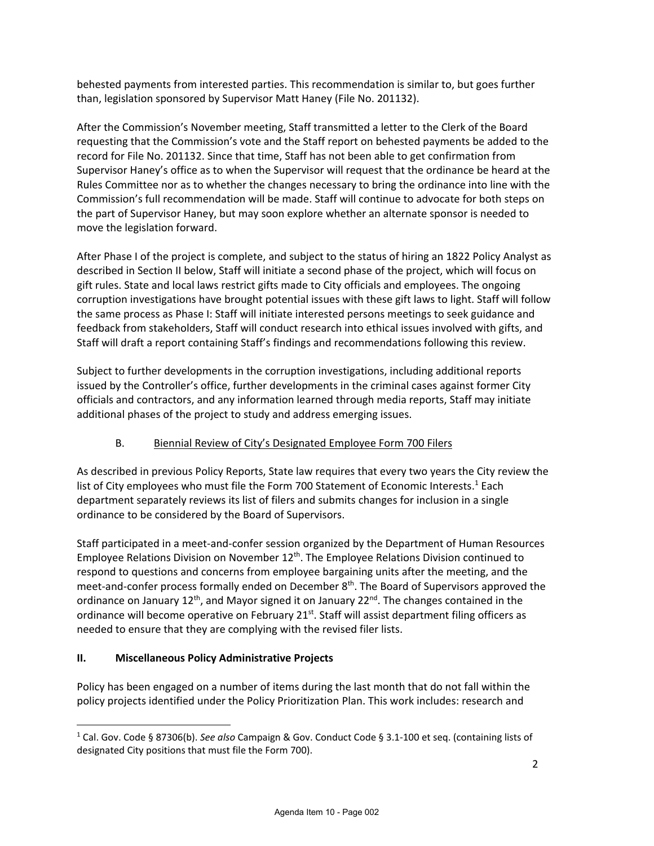behested payments from interested parties. This recommendation is similar to, but goes further than, legislation sponsored by Supervisor Matt Haney (File No. 201132).

After the Commission's November meeting, Staff transmitted a letter to the Clerk of the Board requesting that the Commission's vote and the Staff report on behested payments be added to the record for File No. 201132. Since that time, Staff has not been able to get confirmation from Supervisor Haney's office as to when the Supervisor will request that the ordinance be heard at the Rules Committee nor as to whether the changes necessary to bring the ordinance into line with the Commission's full recommendation will be made. Staff will continue to advocate for both steps on the part of Supervisor Haney, but may soon explore whether an alternate sponsor is needed to move the legislation forward.

After Phase I of the project is complete, and subject to the status of hiring an 1822 Policy Analyst as described in Section II below, Staff will initiate a second phase of the project, which will focus on gift rules. State and local laws restrict gifts made to City officials and employees. The ongoing corruption investigations have brought potential issues with these gift laws to light. Staff will follow the same process as Phase I: Staff will initiate interested persons meetings to seek guidance and feedback from stakeholders, Staff will conduct research into ethical issues involved with gifts, and Staff will draft a report containing Staff's findings and recommendations following this review.

Subject to further developments in the corruption investigations, including additional reports issued by the Controller's office, further developments in the criminal cases against former City officials and contractors, and any information learned through media reports, Staff may initiate additional phases of the project to study and address emerging issues.

## B. Biennial Review of City's Designated Employee Form 700 Filers

As described in previous Policy Reports, State law requires that every two years the City review the list of City employees who must file the Form 700 Statement of Economic Interests.<sup>1</sup> Each department separately reviews its list of filers and submits changes for inclusion in a single ordinance to be considered by the Board of Supervisors.

Staff participated in a meet-and-confer session organized by the Department of Human Resources Employee Relations Division on November  $12^{th}$ . The Employee Relations Division continued to respond to questions and concerns from employee bargaining units after the meeting, and the meet-and-confer process formally ended on December 8<sup>th</sup>. The Board of Supervisors approved the ordinance on January 12<sup>th</sup>, and Mayor signed it on January 22<sup>nd</sup>. The changes contained in the ordinance will become operative on February 21<sup>st</sup>. Staff will assist department filing officers as needed to ensure that they are complying with the revised filer lists.

## **II. Miscellaneous Policy Administrative Projects**

Policy has been engaged on a number of items during the last month that do not fall within the policy projects identified under the Policy Prioritization Plan. This work includes: research and

<sup>1</sup> Cal. Gov. Code § 87306(b). *See also* Campaign & Gov. Conduct Code § 3.1-100 et seq. (containing lists of designated City positions that must file the Form 700).